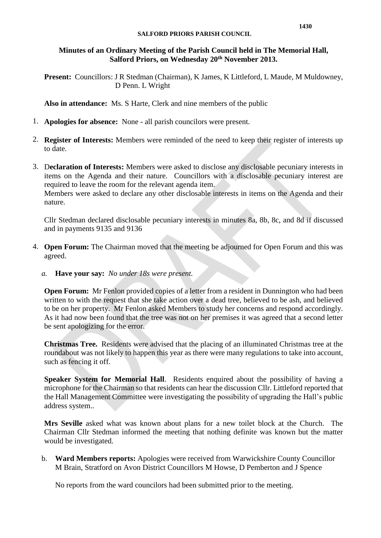#### **Minutes of an Ordinary Meeting of the Parish Council held in The Memorial Hall, Salford Priors, on Wednesday 20th November 2013.**

**Present:** Councillors: J R Stedman (Chairman), K James, K Littleford, L Maude, M Muldowney, D Penn. L Wright

**Also in attendance:** Ms. S Harte, Clerk and nine members of the public

- 1. **Apologies for absence:** None all parish councilors were present.
- 2. **Register of Interests:** Members were reminded of the need to keep their register of interests up to date.
- 3. D**eclaration of Interests:** Members were asked to disclose any disclosable pecuniary interests in items on the Agenda and their nature. Councillors with a disclosable pecuniary interest are required to leave the room for the relevant agenda item.

Members were asked to declare any other disclosable interests in items on the Agenda and their nature.

Cllr Stedman declared disclosable pecuniary interests in minutes 8a, 8b, 8c, and 8d if discussed and in payments 9135 and 9136

- 4. **Open Forum:** The Chairman moved that the meeting be adjourned for Open Forum and this was agreed.
	- *a.* **Have your say:** *No under 18s were present.*

**Open Forum:** Mr Fenlon provided copies of a letter from a resident in Dunnington who had been written to with the request that she take action over a dead tree, believed to be ash, and believed to be on her property. Mr Fenlon asked Members to study her concerns and respond accordingly. As it had now been found that the tree was not on her premises it was agreed that a second letter be sent apologizing for the error.

**Christmas Tree.** Residents were advised that the placing of an illuminated Christmas tree at the roundabout was not likely to happen this year as there were many regulations to take into account, such as fencing it off.

**Speaker System for Memorial Hall**. Residents enquired about the possibility of having a microphone for the Chairman so that residents can hear the discussion Cllr. Littleford reported that the Hall Management Committee were investigating the possibility of upgrading the Hall's public address system..

**Mrs Seville** asked what was known about plans for a new toilet block at the Church. The Chairman Cllr Stedman informed the meeting that nothing definite was known but the matter would be investigated.

b. **Ward Members reports:** Apologies were received from Warwickshire County Councillor M Brain, Stratford on Avon District Councillors M Howse, D Pemberton and J Spence

No reports from the ward councilors had been submitted prior to the meeting.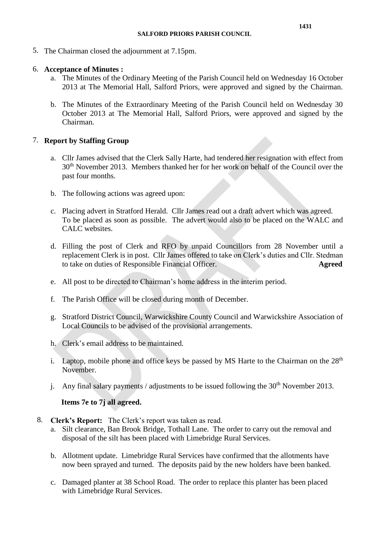5. The Chairman closed the adjournment at 7.15pm.

#### 6. **Acceptance of Minutes :**

- a. The Minutes of the Ordinary Meeting of the Parish Council held on Wednesday 16 October 2013 at The Memorial Hall, Salford Priors, were approved and signed by the Chairman.
- b. The Minutes of the Extraordinary Meeting of the Parish Council held on Wednesday 30 October 2013 at The Memorial Hall, Salford Priors, were approved and signed by the Chairman.

# 7. **Report by Staffing Group**

- a. Cllr James advised that the Clerk Sally Harte, had tendered her resignation with effect from 30<sup>th</sup> November 2013. Members thanked her for her work on behalf of the Council over the past four months.
- b. The following actions was agreed upon:
- c. Placing advert in Stratford Herald. Cllr James read out a draft advert which was agreed. To be placed as soon as possible. The advert would also to be placed on the WALC and CALC websites.
- d. Filling the post of Clerk and RFO by unpaid Councillors from 28 November until a replacement Clerk is in post. Cllr James offered to take on Clerk's duties and Cllr. Stedman to take on duties of Responsible Financial Officer. **Agreed**
- e. All post to be directed to Chairman's home address in the interim period.
- f. The Parish Office will be closed during month of December.
- g. Stratford District Council, Warwickshire County Council and Warwickshire Association of Local Councils to be advised of the provisional arrangements.
- h. Clerk's email address to be maintained.
- i. Laptop, mobile phone and office keys be passed by MS Harte to the Chairman on the  $28<sup>th</sup>$ November.
- j. Any final salary payments / adjustments to be issued following the  $30<sup>th</sup>$  November 2013.

# **Items 7e to 7j all agreed.**

- 8. **Clerk's Report:** The Clerk's report was taken as read.
	- a. Silt clearance, Ban Brook Bridge, Tothall Lane. The order to carry out the removal and disposal of the silt has been placed with Limebridge Rural Services.
	- b. Allotment update. Limebridge Rural Services have confirmed that the allotments have now been sprayed and turned. The deposits paid by the new holders have been banked.
	- c. Damaged planter at 38 School Road. The order to replace this planter has been placed with Limebridge Rural Services.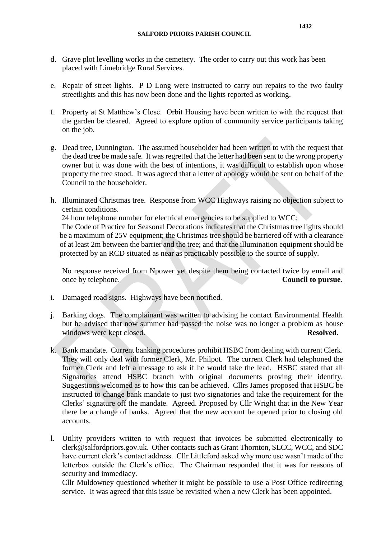- d. Grave plot levelling works in the cemetery. The order to carry out this work has been placed with Limebridge Rural Services.
- e. Repair of street lights. P D Long were instructed to carry out repairs to the two faulty streetlights and this has now been done and the lights reported as working.
- f. Property at St Matthew's Close. Orbit Housing have been written to with the request that the garden be cleared. Agreed to explore option of community service participants taking on the job.
- g. Dead tree, Dunnington. The assumed householder had been written to with the request that the dead tree be made safe. It was regretted that the letter had been sent to the wrong property owner but it was done with the best of intentions, it was difficult to establish upon whose property the tree stood. It was agreed that a letter of apology would be sent on behalf of the Council to the householder.
- h. Illuminated Christmas tree. Response from WCC Highways raising no objection subject to certain conditions.

 24 hour telephone number for electrical emergencies to be supplied to WCC; The Code of Practice for Seasonal Decorations indicates that the Christmas tree lights should be a maximum of 25V equipment; the Christmas tree should be barriered off with a clearance of at least 2m between the barrier and the tree; and that the illumination equipment should be protected by an RCD situated as near as practicably possible to the source of supply.

No response received from Npower yet despite them being contacted twice by email and once by telephone. **Council to pursue**.

- i. Damaged road signs. Highways have been notified.
- j. Barking dogs. The complainant was written to advising he contact Environmental Health but he advised that now summer had passed the noise was no longer a problem as house windows were kept closed. **Resolved. Resolved.**
- k. Bank mandate. Current banking procedures prohibit HSBC from dealing with current Clerk. They will only deal with former Clerk, Mr. Philpot. The current Clerk had telephoned the former Clerk and left a message to ask if he would take the lead. HSBC stated that all Signatories attend HSBC branch with original documents proving their identity. Suggestions welcomed as to how this can be achieved. Cllrs James proposed that HSBC be instructed to change bank mandate to just two signatories and take the requirement for the Clerks' signature off the mandate. Agreed. Proposed by Cllr Wright that in the New Year there be a change of banks. Agreed that the new account be opened prior to closing old accounts.
- l. Utility providers written to with request that invoices be submitted electronically to [clerk@salfordpriors.gov.uk.](mailto:clerk@salfordpriors.gov.uk) Other contacts such as Grant Thornton, SLCC, WCC, and SDC have current clerk's contact address. Cllr Littleford asked why more use wasn't made of the letterbox outside the Clerk's office. The Chairman responded that it was for reasons of security and immediacy.

Cllr Muldowney questioned whether it might be possible to use a Post Office redirecting service. It was agreed that this issue be revisited when a new Clerk has been appointed.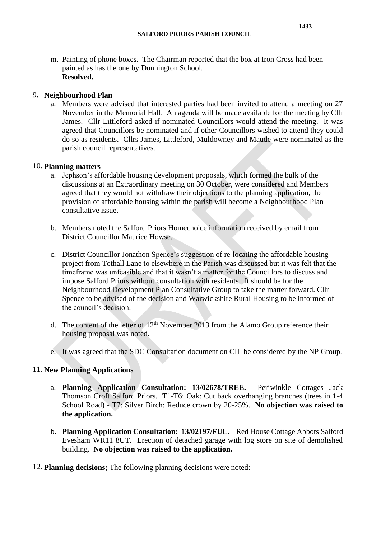m. Painting of phone boxes. The Chairman reported that the box at Iron Cross had been painted as has the one by Dunnington School. **Resolved.**

#### 9. **Neighbourhood Plan**

a. Members were advised that interested parties had been invited to attend a meeting on 27 November in the Memorial Hall. An agenda will be made available for the meeting by Cllr James. Cllr Littleford asked if nominated Councillors would attend the meeting. It was agreed that Councillors be nominated and if other Councillors wished to attend they could do so as residents. Cllrs James, Littleford, Muldowney and Maude were nominated as the parish council representatives.

#### 10. **Planning matters**

- a. Jephson's affordable housing development proposals, which formed the bulk of the discussions at an Extraordinary meeting on 30 October, were considered and Members agreed that they would not withdraw their objections to the planning application, the provision of affordable housing within the parish will become a Neighbourhood Plan consultative issue.
- b. Members noted the Salford Priors Homechoice information received by email from District Councillor Maurice Howse.
- c. District Councillor Jonathon Spence's suggestion of re-locating the affordable housing project from Tothall Lane to elsewhere in the Parish was discussed but it was felt that the timeframe was unfeasible and that it wasn't a matter for the Councillors to discuss and impose Salford Priors without consultation with residents. It should be for the Neighbourhood Development Plan Consultative Group to take the matter forward. Cllr Spence to be advised of the decision and Warwickshire Rural Housing to be informed of the council's decision.
- d. The content of the letter of  $12<sup>th</sup>$  November 2013 from the Alamo Group reference their housing proposal was noted.
- e. It was agreed that the SDC Consultation document on CIL be considered by the NP Group.

# 11. **New Planning Applications**

- a. **Planning Application Consultation: 13/02678/TREE.** Periwinkle Cottages Jack Thomson Croft Salford Priors. T1-T6: Oak: Cut back overhanging branches (trees in 1-4 School Road) - T7: Silver Birch: Reduce crown by 20-25%. **No objection was raised to the application.**
- b. **Planning Application Consultation: 13/02197/FUL.** Red House Cottage Abbots Salford Evesham WR11 8UT. Erection of detached garage with log store on site of demolished building. **No objection was raised to the application.**
- 12. **Planning decisions;** The following planning decisions were noted: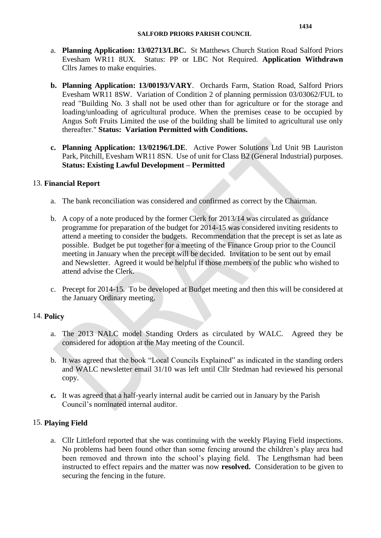- a. **Planning Application: 13/02713/LBC.** St Matthews Church Station Road Salford Priors Evesham WR11 8UX. Status: PP or LBC Not Required. **Application Withdrawn** Cllrs James to make enquiries.
- **b. Planning Application: 13/00193/VARY**. Orchards Farm, Station Road, Salford Priors Evesham WR11 8SW. Variation of Condition 2 of planning permission 03/03062/FUL to read "Building No. 3 shall not be used other than for agriculture or for the storage and loading/unloading of agricultural produce. When the premises cease to be occupied by Angus Soft Fruits Limited the use of the building shall be limited to agricultural use only thereafter." **Status: Variation Permitted with Conditions.**
- **c. Planning Application: 13/02196/LDE**. Active Power Solutions Ltd Unit 9B Lauriston Park, Pitchill, Evesham WR11 8SN. Use of unit for Class B2 (General Industrial) purposes. **Status: Existing Lawful Development – Permitted**

#### 13. **Financial Report**

- a. The bank reconciliation was considered and confirmed as correct by the Chairman.
- b. A copy of a note produced by the former Clerk for 2013/14 was circulated as guidance programme for preparation of the budget for 2014-15 was considered inviting residents to attend a meeting to consider the budgets. Recommendation that the precept is set as late as possible. Budget be put together for a meeting of the Finance Group prior to the Council meeting in January when the precept will be decided. Invitation to be sent out by email and Newsletter. Agreed it would be helpful if those members of the public who wished to attend advise the Clerk.
- c. Precept for 2014-15. To be developed at Budget meeting and then this will be considered at the January Ordinary meeting.

# 14. **Policy**

- a. The 2013 NALC model Standing Orders as circulated by WALC. Agreed they be considered for adoption at the May meeting of the Council.
- b. It was agreed that the book "Local Councils Explained" as indicated in the standing orders and WALC newsletter email 31/10 was left until Cllr Stedman had reviewed his personal copy.
- **c.** It was agreed that a half-yearly internal audit be carried out in January by the Parish Council's nominated internal auditor.

# 15. **Playing Field**

a. Cllr Littleford reported that she was continuing with the weekly Playing Field inspections. No problems had been found other than some fencing around the children's play area had been removed and thrown into the school's playing field. The Lengthsman had been instructed to effect repairs and the matter was now **resolved.** Consideration to be given to securing the fencing in the future.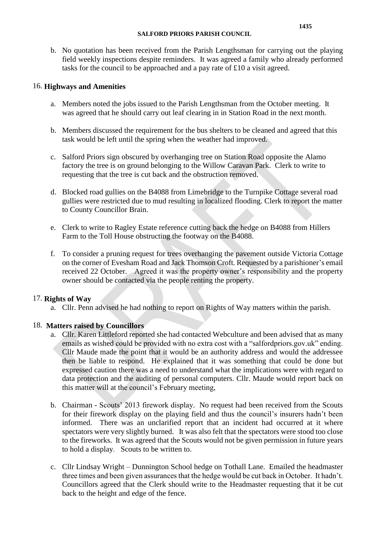b. No quotation has been received from the Parish Lengthsman for carrying out the playing field weekly inspections despite reminders. It was agreed a family who already performed tasks for the council to be approached and a pay rate of £10 a visit agreed.

# 16. **Highways and Amenities**

- a. Members noted the jobs issued to the Parish Lengthsman from the October meeting. It was agreed that he should carry out leaf clearing in in Station Road in the next month.
- b. Members discussed the requirement for the bus shelters to be cleaned and agreed that this task would be left until the spring when the weather had improved.
- c. Salford Priors sign obscured by overhanging tree on Station Road opposite the Alamo factory the tree is on ground belonging to the Willow Caravan Park. Clerk to write to requesting that the tree is cut back and the obstruction removed.
- d. Blocked road gullies on the B4088 from Limebridge to the Turnpike Cottage several road gullies were restricted due to mud resulting in localized flooding. Clerk to report the matter to County Councillor Brain.
- e. Clerk to write to Ragley Estate reference cutting back the hedge on B4088 from Hillers Farm to the Toll House obstructing the footway on the B4088.
- f. To consider a pruning request for trees overhanging the pavement outside Victoria Cottage on the corner of Evesham Road and Jack Thomson Croft. Requested by a parishioner's email received 22 October. Agreed it was the property owner's responsibility and the property owner should be contacted via the people renting the property.

# 17. **Rights of Way**

a. Cllr. Penn advised he had nothing to report on Rights of Way matters within the parish.

# 18. **Matters raised by Councillors**

- a. Cllr. Karen Littleford reported she had contacted Webculture and been advised that as many emails as wished could be provided with no extra cost with a "salfordpriors.gov.uk" ending. Cllr Maude made the point that it would be an authority address and would the addressee then be liable to respond. He explained that it was something that could be done but expressed caution there was a need to understand what the implications were with regard to data protection and the auditing of personal computers. Cllr. Maude would report back on this matter will at the council's February meeting,
- b. Chairman Scouts' 2013 firework display. No request had been received from the Scouts for their firework display on the playing field and thus the council's insurers hadn't been informed. There was an unclarified report that an incident had occurred at it where spectators were very slightly burned. It was also felt that the spectators were stood too close to the fireworks. It was agreed that the Scouts would not be given permission in future years to hold a display. Scouts to be written to.
- c. Cllr Lindsay Wright Dunnington School hedge on Tothall Lane. Emailed the headmaster three times and been given assurances that the hedge would be cut back in October. It hadn't. Councillors agreed that the Clerk should write to the Headmaster requesting that it be cut back to the height and edge of the fence.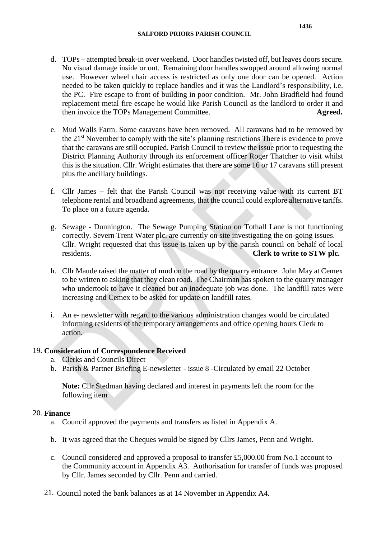- d. TOPs attempted break-in over weekend. Door handles twisted off, but leaves doors secure. No visual damage inside or out. Remaining door handles swopped around allowing normal use. However wheel chair access is restricted as only one door can be opened. Action needed to be taken quickly to replace handles and it was the Landlord's responsibility, i.e. the PC. Fire escape to front of building in poor condition. Mr. John Bradfield had found replacement metal fire escape he would like Parish Council as the landlord to order it and then invoice the TOPs Management Committee. **Agreed.**
- e. Mud Walls Farm. Some caravans have been removed. All caravans had to be removed by the 21st November to comply with the site's planning restrictions There is evidence to prove that the caravans are still occupied. Parish Council to review the issue prior to requesting the District Planning Authority through its enforcement officer Roger Thatcher to visit whilst this is the situation. Cllr. Wright estimates that there are some 16 or 17 caravans still present plus the ancillary buildings.
- f. Cllr James felt that the Parish Council was not receiving value with its current BT telephone rental and broadband agreements, that the council could explore alternative tariffs. To place on a future agenda.
- g. Sewage Dunnington. The Sewage Pumping Station on Tothall Lane is not functioning correctly. Severn Trent Water plc. are currently on site investigating the on-going issues. Cllr. Wright requested that this issue is taken up by the parish council on behalf of local residents. **Clerk to write to STW plc.**
- h. Cllr Maude raised the matter of mud on the road by the quarry entrance. John May at Cemex to be written to asking that they clean road. The Chairman has spoken to the quarry manager who undertook to have it cleaned but an inadequate job was done. The landfill rates were increasing and Cemex to be asked for update on landfill rates.
- i. An e- newsletter with regard to the various administration changes would be circulated informing residents of the temporary arrangements and office opening hours Clerk to action.

# 19. **Consideration of Correspondence Received**

- a. Clerks and Councils Direct
- b. Parish & Partner Briefing E-newsletter issue 8 -Circulated by email 22 October

**Note:** Cllr Stedman having declared and interest in payments left the room for the following item

#### 20. **Finance**

- a. Council approved the payments and transfers as listed in Appendix A.
- b. It was agreed that the Cheques would be signed by Cllrs James, Penn and Wright.
- c. Council considered and approved a proposal to transfer £5,000.00 from No.1 account to the Community account in Appendix A3. Authorisation for transfer of funds was proposed by Cllr. James seconded by Cllr. Penn and carried.
- 21. Council noted the bank balances as at 14 November in Appendix A4.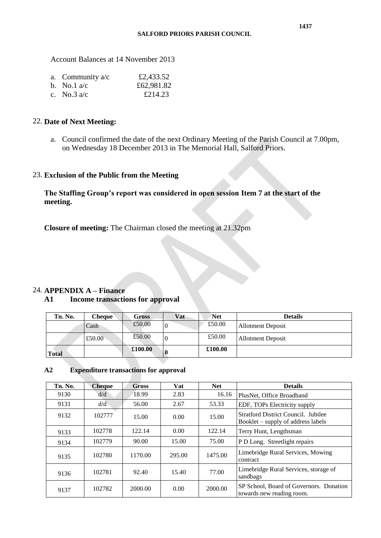Account Balances at 14 November 2013

| a. Community $a/c$ | £2,433.52  |
|--------------------|------------|
| b. No.1 $a/c$      | £62,981.82 |
| c. No.3 $a/c$      | £214.23    |

#### 22. **Date of Next Meeting:**

a. Council confirmed the date of the next Ordinary Meeting of the Parish Council at 7.00pm, on Wednesday 18 December 2013 in The Memorial Hall, Salford Priors.

#### 23. **Exclusion of the Public from the Meeting**

**The Staffing Group's report was considered in open session Item 7 at the start of the meeting.**

**Closure of meeting:** The Chairman closed the meeting at 21.32pm

# 24. **APPENDIX A – Finance**

#### **A1 Income transactions for approval**

| Tn. No. | <b>Cheque</b> | Gross   | Vat      | <b>Net</b> | <b>Details</b>           |
|---------|---------------|---------|----------|------------|--------------------------|
|         | Cash          | £50.00  | $\theta$ | £50.00     | <b>Allotment Deposit</b> |
|         | £50.00        | £50.00  | C        | £50.00     | <b>Allotment Deposit</b> |
| Total   |               | £100.00 |          | £100.00    |                          |

#### **A2 Expenditure transactions for approval**

| Tn. No. | <b>Cheque</b> | <b>Gross</b> | Vat    | <b>Net</b> | <b>Details</b>                                                                   |
|---------|---------------|--------------|--------|------------|----------------------------------------------------------------------------------|
| 9130    | d/d           | 18.99        | 2.83   | 16.16      | PlusNet, Office Broadband                                                        |
| 9131    | d/d           | 56.00        | 2.67   | 53.33      | EDF, TOPs Electricity supply                                                     |
| 9132    | 102777        | 15.00        | 0.00   | 15.00      | <b>Stratford District Council. Jubilee</b><br>Booklet – supply of address labels |
| 9133    | 102778        | 122.14       | 0.00   | 122.14     | Terry Hunt, Lengthsman                                                           |
| 9134    | 102779        | 90.00        | 15.00  | 75.00      | P D Long. Streetlight repairs                                                    |
| 9135    | 102780        | 1170.00      | 295.00 | 1475.00    | Limebridge Rural Services, Mowing<br>contract                                    |
| 9136    | 102781        | 92.40        | 15.40  | 77.00      | Limebridge Rural Services, storage of<br>sandbags                                |
| 9137    | 102782        | 2000.00      | 0.00   | 2000.00    | SP School, Board of Governors. Donation<br>towards new reading room.             |